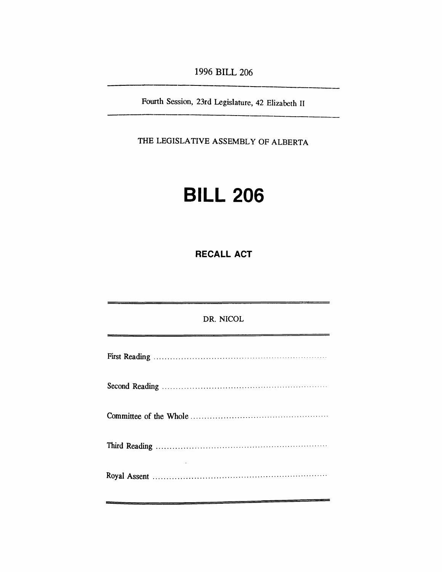*1996 BILL 206*

*Fourth Session, 23rd Legislature, 42 Elizabeth II*

*THE LEGISLATIVE ASSEMBLY OF ALBERTA*

## *BILL 206*

*RECALL ACT*

*DR. NICOL First Reading Second Reading Committee of the Whole Third Reading Royal Assent*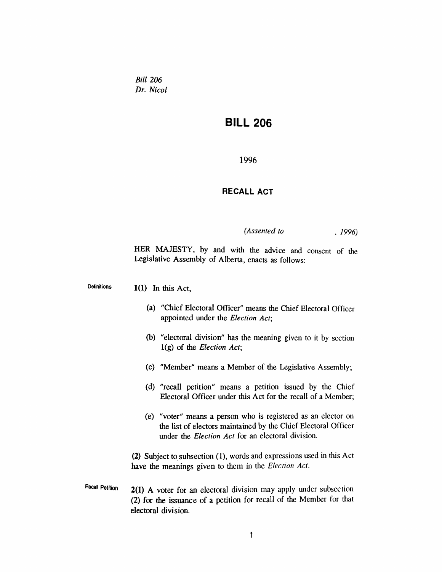*Bill 206 Dr. Nicol*

## *BILL 206*

*1996*

## *RECALL ACT*

*(Assented to , 1996)*

*HER MAJESTY, by and with the advice and consent of the Legislative Assembly of Alberta, enacts as follows:*

*Definitions 1(1) In this Act,*

- *(a) "Chief Electoral Officer" means the Chief Electoral Officer appointed under the Election Act;*
- *(b) "electoral division" has the meaning given to it by section 1(g) of the Election Act;*
- *(c) "Member" means a Member of the Legislative Assembly;*
- *(d) "recall petition" means a petition issued by the Chief Electoral Officer under this Act for the recall of a Member;*
- *(e) "voter" means a person who is registered as an elector on the list of electors maintained by the Chief Electoral Officer under the Election Act for an electoral division.*

*(2) Subject to subsection (1), words and expressions used in this Act have the meanings given to them in the Election Act.*

*Recall Petition 2(1) A voter for an electoral division may apply under subsection (2) for the issuance of a petition for recall of the Member for that electoral division.*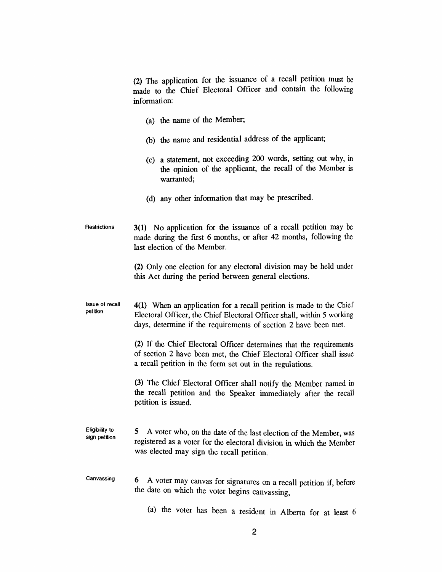*(2) The application for the issuance of a recall petition must be made to the Chief Electoral Officer and contain the following information:*

- *(a) the name of the Member;*
- *(b) the name and residential address of the applicant;*
- *(c) a statement, not exceeding 200 words, setting out why, in the opinion of the applicant, the recall of the Member is warranted;*
- *(d) any other information that may be prescribed.*
- *Restrictions 3(1) No application for the issuance of a recall petition may be made during the first 6 months, or after 42 months, following the last election of the Member.*

*(2) Only one election for any electoral division may be held under this Act during the period between general elections.*

*Issue of recall petition 4(1) When an application for a recall petition is made to the Chief Electoral Officer, the Chief Electoral Officer shall, within 5 working days, determine if the requirements of section 2 have been met.*

> *(2) If the Chief Electoral Officer determines that the requirements of section 2 have been met, the Chief Electoral Officer shall issue a recall petition in the form set out in the regulations.*

> *(3) The Chief Electoral Officer shall notify the Member named in the recall petition and the Speaker immediately after the recall petition is issued.*

- *Eligibility to sign petition 5 A voter who, on the date of the last election of the Member, was registered as a voter for the electoral division in which the Member was elected may sign the recall petition.*
- *Canvassing 6 A voter may canvas for signatures on a recall petition if, before the date on which the voter begins canvassing,*
	- *(a) the voter has been a resident in Alberta for at least 6*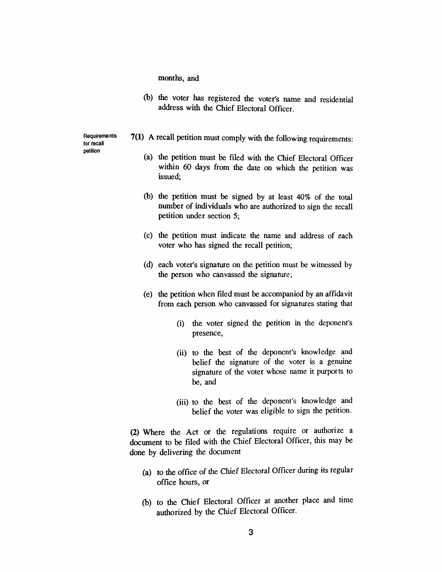*months, and*

*(b) the voter has registered the voter's name and residential address with the Chief Electoral Officer.*

*Requirements for recall petition*

- *7(1) A recall petition must comply with the following requirements:*
	- *(a) the petition must be filed with the Chief Electoral Officer within 60 days from the date on which the petition was issued;*
	- *(b) the petition must be signed by at least 40% of the total number of individuals who are authorized to sign the recall petition under section 5;*
	- *(c) the petition must indicate the name and address of each voter who has signed the recall petition;*
	- *(d) each voter's signature on the petition must be witnessed by the person who canvassed the signature;*
	- *(e) the petition when filed must be accompanied by an affidavit from each person who canvassed for signatures stating that*
		- *(i) the voter signed the petition in the deponent's presence,*
		- *(ii) to the best of the deponent's knowledge and belief the signature of the voter is a genuine signature of the voter whose name it purports to be, and*
		- *(iii) to the best of the deponent's knowledge and belief the voter was eligible to sign the petition.*

*(2) Where the Act or the regulations require or authorize a document to be filed with the Chief Electoral Officer, this may be done by delivering the document*

- *(a) to the office of the Chief Electoral Officer during its regular office hours, or*
- *(b) to the Chief Electoral Officer at another place and time authorized by the Chief Electoral Officer.*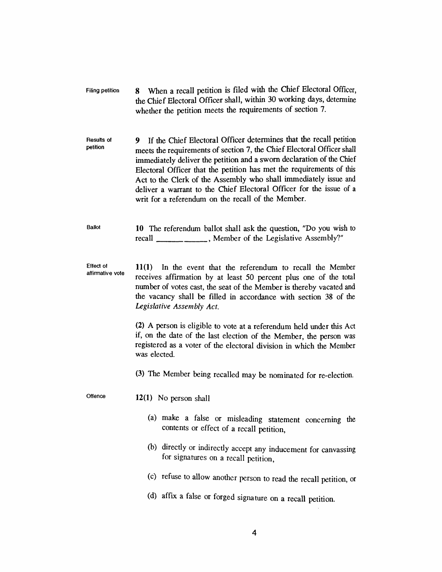| Filing petition | When a recall petition is filed with the Chief Electoral Officer.    |
|-----------------|----------------------------------------------------------------------|
|                 | the Chief Electoral Officer shall, within 30 working days, determine |
|                 | whether the petition meets the requirements of section 7.            |

- *Results of petition 9 If the Chief Electoral Officer determines that the recall petition meets the requirements ofsection 7, the Chief Electoral Officer shall immediately deliver the petition and a sworn declaration ofthe Chief Electoral Officer that the petition has met the requirements of this Act to the Clerk of the Assembly who shall immediately issue and deliver a warrant to the Chief Electoral Officer for the issue of a writ for a referendum on the recall of the Member.*
- *Ballot 10 The referendum ballot shall ask the question, "Do you wish to recall\_\_\_\_\_\_\_\_\_\_\_\_ , Member of the Legislative Assembly?"*
- *Effect of affirmative vote 11(1) In the event that the referendum to recall the Member receives affirmation by at least 50 percent plus one of the total number of votes cast, the seat of the Member is thereby vacated and the vacancy shall be filled in accordance with section 38 of the Legislative Assembly Act.*

*(2) A person is eligible to vote at a referendum held under this Act if, on the date of the last election of the Member, the person was registered as a voter of the electoral division in which the Member was elected.*

*(3) The Member being recalled may be nominated for re-election.*

- *Offence 12(1) No person shall*
	- *(a) make a false or misleading statement concerning the contents or effect of a recall petition,*
	- *(b) directly or indirectly accept any inducement for canvassing for signatures on a recall petition,*
	- *(c) refuse to allow another person to read the recall petition, or*
	- *(d) affix a false or forged signature on a recall petition.*